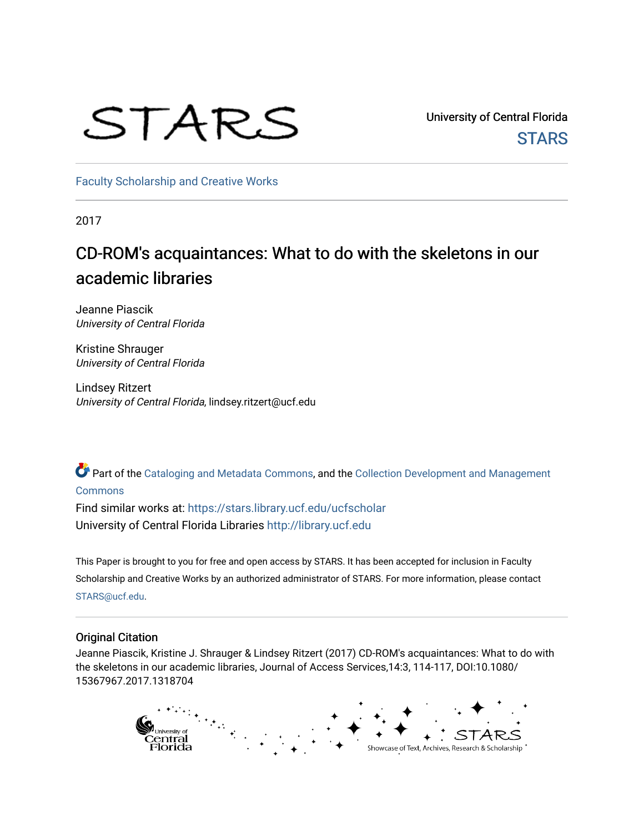# STARS

University of Central Florida **STARS** 

[Faculty Scholarship and Creative Works](https://stars.library.ucf.edu/ucfscholar) 

2017

# CD-ROM's acquaintances: What to do with the skeletons in our academic libraries

Jeanne Piascik University of Central Florida

Kristine Shrauger University of Central Florida

Lindsey Ritzert University of Central Florida, lindsey.ritzert@ucf.edu

Part of the [Cataloging and Metadata Commons,](http://network.bepress.com/hgg/discipline/1270?utm_source=stars.library.ucf.edu%2Fucfscholar%2F597&utm_medium=PDF&utm_campaign=PDFCoverPages) and the Collection Development and Management [Commons](http://network.bepress.com/hgg/discipline/1271?utm_source=stars.library.ucf.edu%2Fucfscholar%2F597&utm_medium=PDF&utm_campaign=PDFCoverPages)

Find similar works at: <https://stars.library.ucf.edu/ucfscholar> University of Central Florida Libraries [http://library.ucf.edu](http://library.ucf.edu/) 

This Paper is brought to you for free and open access by STARS. It has been accepted for inclusion in Faculty Scholarship and Creative Works by an authorized administrator of STARS. For more information, please contact [STARS@ucf.edu](mailto:STARS@ucf.edu).

# Original Citation

Jeanne Piascik, Kristine J. Shrauger & Lindsey Ritzert (2017) CD-ROM's acquaintances: What to do with the skeletons in our academic libraries, Journal of Access Services,14:3, 114-117, DOI:10.1080/ 15367967.2017.1318704

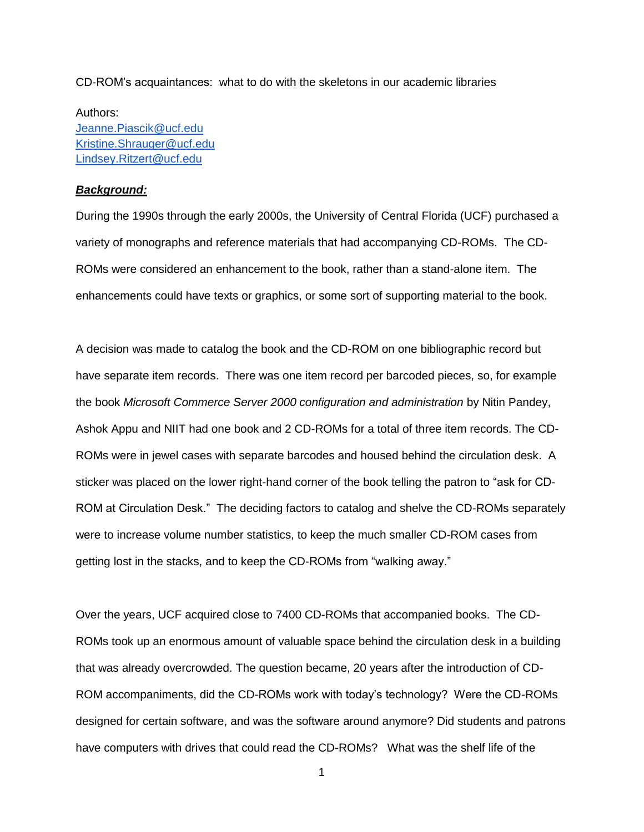CD-ROM's acquaintances: what to do with the skeletons in our academic libraries

Authors: [Jeanne.Piascik@ucf.edu](mailto:Jeanne.Piascik@ucf.edu) [Kristine.Shrauger@ucf.edu](mailto:Kristine.Shrauger@ucf.edu) [Lindsey.Ritzert@ucf.edu](mailto:Lindsey.Ritzert@ucf.edu)

# *Background:*

During the 1990s through the early 2000s, the University of Central Florida (UCF) purchased a variety of monographs and reference materials that had accompanying CD-ROMs. The CD-ROMs were considered an enhancement to the book, rather than a stand-alone item. The enhancements could have texts or graphics, or some sort of supporting material to the book.

A decision was made to catalog the book and the CD-ROM on one bibliographic record but have separate item records. There was one item record per barcoded pieces, so, for example the book *Microsoft Commerce Server 2000 configuration and administration* by Nitin Pandey, Ashok Appu and NIIT had one book and 2 CD-ROMs for a total of three item records. The CD-ROMs were in jewel cases with separate barcodes and housed behind the circulation desk. A sticker was placed on the lower right-hand corner of the book telling the patron to "ask for CD-ROM at Circulation Desk." The deciding factors to catalog and shelve the CD-ROMs separately were to increase volume number statistics, to keep the much smaller CD-ROM cases from getting lost in the stacks, and to keep the CD-ROMs from "walking away."

Over the years, UCF acquired close to 7400 CD-ROMs that accompanied books. The CD-ROMs took up an enormous amount of valuable space behind the circulation desk in a building that was already overcrowded. The question became, 20 years after the introduction of CD-ROM accompaniments, did the CD-ROMs work with today's technology? Were the CD-ROMs designed for certain software, and was the software around anymore? Did students and patrons have computers with drives that could read the CD-ROMs? What was the shelf life of the

1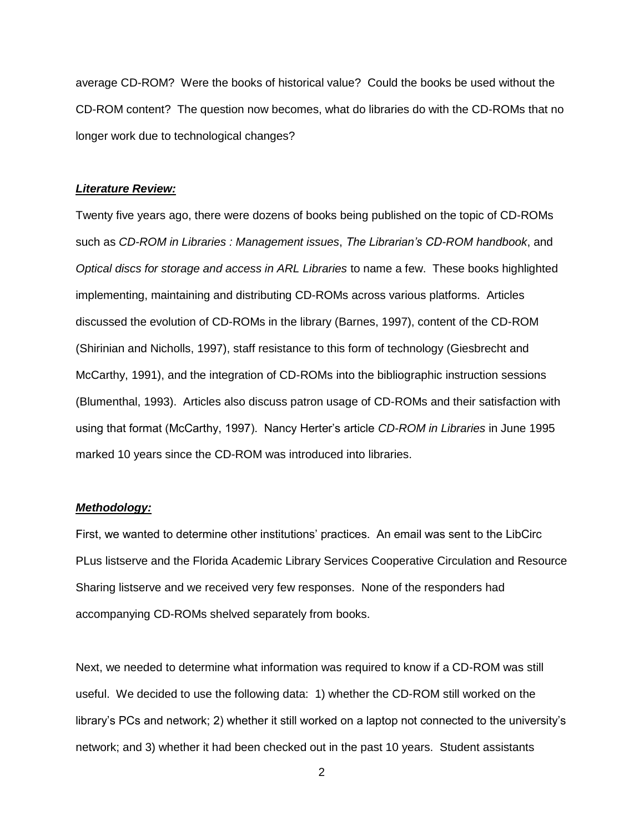average CD-ROM? Were the books of historical value? Could the books be used without the CD-ROM content? The question now becomes, what do libraries do with the CD-ROMs that no longer work due to technological changes?

#### *Literature Review:*

Twenty five years ago, there were dozens of books being published on the topic of CD-ROMs such as *CD-ROM in Libraries : Management issues*, *The Librarian's CD-ROM handbook*, and *Optical discs for storage and access in ARL Libraries* to name a few. These books highlighted implementing, maintaining and distributing CD-ROMs across various platforms. Articles discussed the evolution of CD-ROMs in the library (Barnes, 1997), content of the CD-ROM (Shirinian and Nicholls, 1997), staff resistance to this form of technology (Giesbrecht and McCarthy, 1991), and the integration of CD-ROMs into the bibliographic instruction sessions (Blumenthal, 1993). Articles also discuss patron usage of CD-ROMs and their satisfaction with using that format (McCarthy, 1997). Nancy Herter's article *CD-ROM in Libraries* in June 1995 marked 10 years since the CD-ROM was introduced into libraries.

# *Methodology:*

First, we wanted to determine other institutions' practices. An email was sent to the LibCirc PLus listserve and the Florida Academic Library Services Cooperative Circulation and Resource Sharing listserve and we received very few responses. None of the responders had accompanying CD-ROMs shelved separately from books.

Next, we needed to determine what information was required to know if a CD-ROM was still useful. We decided to use the following data: 1) whether the CD-ROM still worked on the library's PCs and network; 2) whether it still worked on a laptop not connected to the university's network; and 3) whether it had been checked out in the past 10 years. Student assistants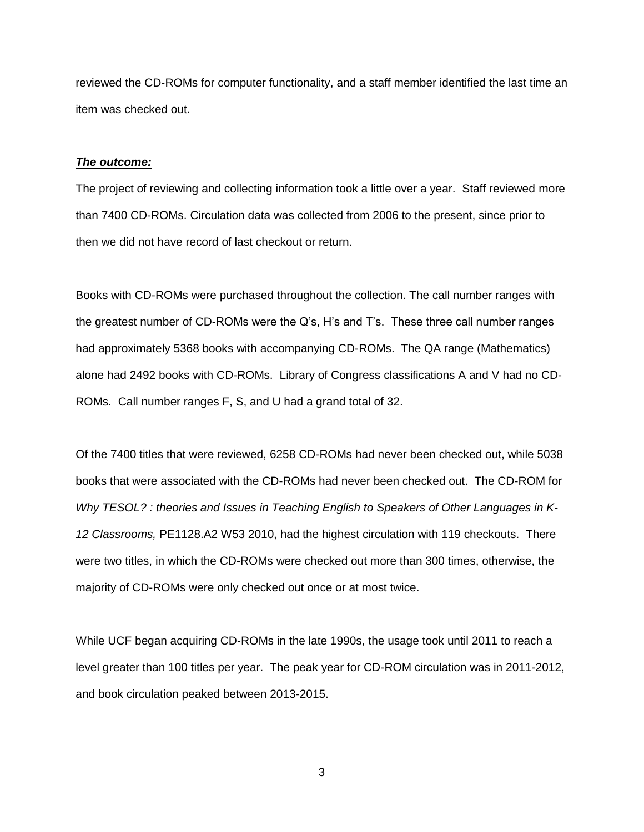reviewed the CD-ROMs for computer functionality, and a staff member identified the last time an item was checked out.

## *The outcome:*

The project of reviewing and collecting information took a little over a year. Staff reviewed more than 7400 CD-ROMs. Circulation data was collected from 2006 to the present, since prior to then we did not have record of last checkout or return.

Books with CD-ROMs were purchased throughout the collection. The call number ranges with the greatest number of CD-ROMs were the Q's, H's and T's. These three call number ranges had approximately 5368 books with accompanying CD-ROMs. The QA range (Mathematics) alone had 2492 books with CD-ROMs. Library of Congress classifications A and V had no CD-ROMs. Call number ranges F, S, and U had a grand total of 32.

Of the 7400 titles that were reviewed, 6258 CD-ROMs had never been checked out, while 5038 books that were associated with the CD-ROMs had never been checked out. The CD-ROM for *Why TESOL? : theories and Issues in Teaching English to Speakers of Other Languages in K-12 Classrooms,* PE1128.A2 W53 2010, had the highest circulation with 119 checkouts. There were two titles, in which the CD-ROMs were checked out more than 300 times, otherwise, the majority of CD-ROMs were only checked out once or at most twice.

While UCF began acquiring CD-ROMs in the late 1990s, the usage took until 2011 to reach a level greater than 100 titles per year. The peak year for CD-ROM circulation was in 2011-2012, and book circulation peaked between 2013-2015.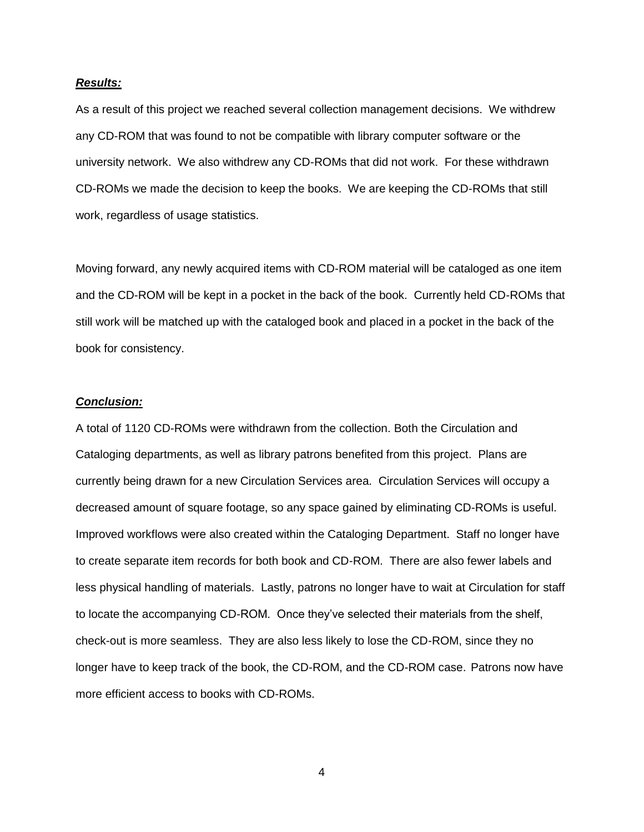#### *Results:*

As a result of this project we reached several collection management decisions. We withdrew any CD-ROM that was found to not be compatible with library computer software or the university network. We also withdrew any CD-ROMs that did not work. For these withdrawn CD-ROMs we made the decision to keep the books. We are keeping the CD-ROMs that still work, regardless of usage statistics.

Moving forward, any newly acquired items with CD-ROM material will be cataloged as one item and the CD-ROM will be kept in a pocket in the back of the book. Currently held CD-ROMs that still work will be matched up with the cataloged book and placed in a pocket in the back of the book for consistency.

### *Conclusion:*

A total of 1120 CD-ROMs were withdrawn from the collection. Both the Circulation and Cataloging departments, as well as library patrons benefited from this project. Plans are currently being drawn for a new Circulation Services area. Circulation Services will occupy a decreased amount of square footage, so any space gained by eliminating CD-ROMs is useful. Improved workflows were also created within the Cataloging Department. Staff no longer have to create separate item records for both book and CD-ROM. There are also fewer labels and less physical handling of materials. Lastly, patrons no longer have to wait at Circulation for staff to locate the accompanying CD-ROM. Once they've selected their materials from the shelf, check-out is more seamless. They are also less likely to lose the CD-ROM, since they no longer have to keep track of the book, the CD-ROM, and the CD-ROM case. Patrons now have more efficient access to books with CD-ROMs.

4